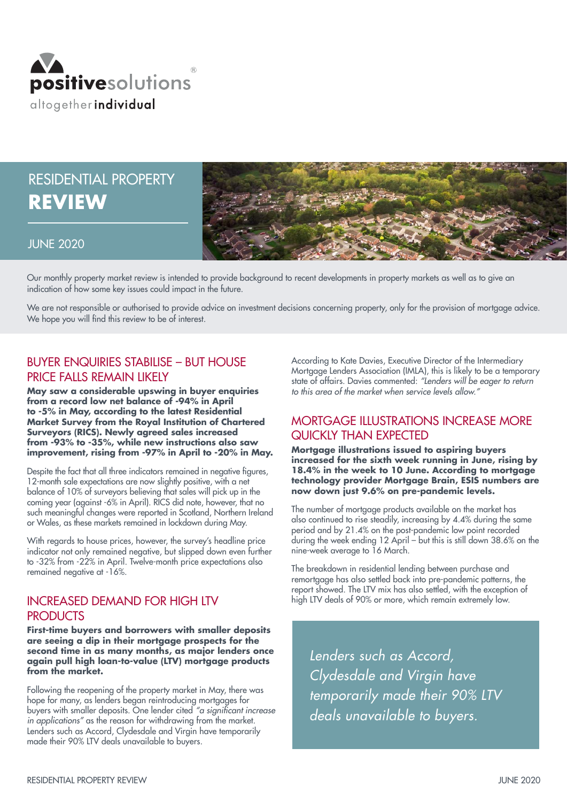

# RESIDENTIAL PROPERTY **REVIEW**



#### JUNE 2020

Our monthly property market review is intended to provide background to recent developments in property markets as well as to give an indication of how some key issues could impact in the future.

We are not responsible or authorised to provide advice on investment decisions concerning property, only for the provision of mortgage advice. We hope you will find this review to be of interest.

# BUYER ENQUIRIES STABILISE – BUT HOUSE PRICE FALLS REMAIN LIKELY

**May saw a considerable upswing in buyer enquiries from a record low net balance of -94% in April to -5% in May, according to the latest Residential Market Survey from the Royal Institution of Chartered Surveyors (RICS). Newly agreed sales increased from -93% to -35%, while new instructions also saw improvement, rising from -97% in April to -20% in May.** 

Despite the fact that all three indicators remained in negative figures, 12-month sale expectations are now slightly positive, with a net balance of 10% of surveyors believing that sales will pick up in the coming year (against -6% in April). RICS did note, however, that no such meaningful changes were reported in Scotland, Northern Ireland or Wales, as these markets remained in lockdown during May.

With regards to house prices, however, the survey's headline price indicator not only remained negative, but slipped down even further to -32% from -22% in April. Twelve-month price expectations also remained negative at -16%.

## INCREASED DEMAND FOR HIGH LTV **PRODUCTS**

**First-time buyers and borrowers with smaller deposits are seeing a dip in their mortgage prospects for the second time in as many months, as major lenders once again pull high loan-to-value (LTV) mortgage products from the market.**

Following the reopening of the property market in May, there was hope for many, as lenders began reintroducing mortgages for buyers with smaller deposits. One lender cited "a significant increase in applications" as the reason for withdrawing from the market. Lenders such as Accord, Clydesdale and Virgin have temporarily made their 90% LTV deals unavailable to buyers.

According to Kate Davies, Executive Director of the Intermediary Mortgage Lenders Association (IMLA), this is likely to be a temporary state of affairs. Davies commented: "Lenders will be eager to return to this area of the market when service levels allow."

# MORTGAGE ILLUSTRATIONS INCREASE MORE QUICKLY THAN EXPECTED

**Mortgage illustrations issued to aspiring buyers increased for the sixth week running in June, rising by 18.4% in the week to 10 June. According to mortgage technology provider Mortgage Brain, ESIS numbers are now down just 9.6% on pre-pandemic levels.**

The number of mortgage products available on the market has also continued to rise steadily, increasing by 4.4% during the same period and by 21.4% on the post-pandemic low point recorded during the week ending 12 April – but this is still down 38.6% on the nine-week average to 16 March.

The breakdown in residential lending between purchase and remortgage has also settled back into pre-pandemic patterns, the report showed. The LTV mix has also settled, with the exception of high LTV deals of 90% or more, which remain extremely low.

Lenders such as Accord, Clydesdale and Virgin have temporarily made their 90% LTV deals unavailable to buyers.